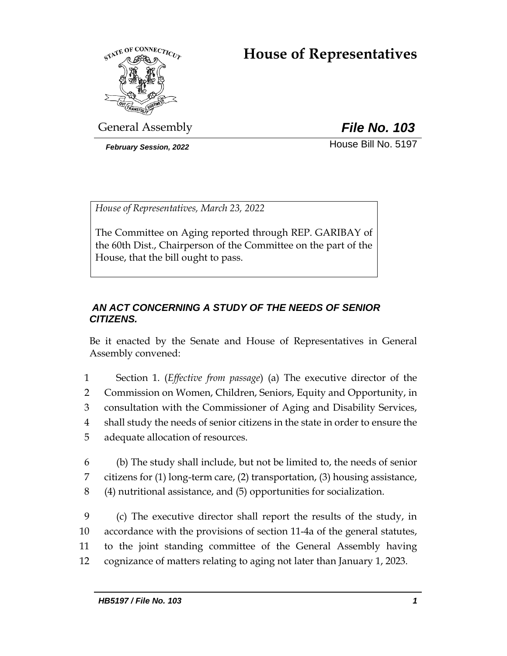# **House of Representatives**



General Assembly *File No. 103*

*February Session, 2022* House Bill No. 5197

*House of Representatives, March 23, 2022*

The Committee on Aging reported through REP. GARIBAY of the 60th Dist., Chairperson of the Committee on the part of the House, that the bill ought to pass.

# *AN ACT CONCERNING A STUDY OF THE NEEDS OF SENIOR CITIZENS.*

Be it enacted by the Senate and House of Representatives in General Assembly convened:

- 1 Section 1. (*Effective from passage*) (a) The executive director of the 2 Commission on Women, Children, Seniors, Equity and Opportunity, in 3 consultation with the Commissioner of Aging and Disability Services, 4 shall study the needs of senior citizens in the state in order to ensure the 5 adequate allocation of resources.
- 6 (b) The study shall include, but not be limited to, the needs of senior 7 citizens for (1) long-term care, (2) transportation, (3) housing assistance, 8 (4) nutritional assistance, and (5) opportunities for socialization.

 (c) The executive director shall report the results of the study, in accordance with the provisions of section 11-4a of the general statutes, to the joint standing committee of the General Assembly having cognizance of matters relating to aging not later than January 1, 2023.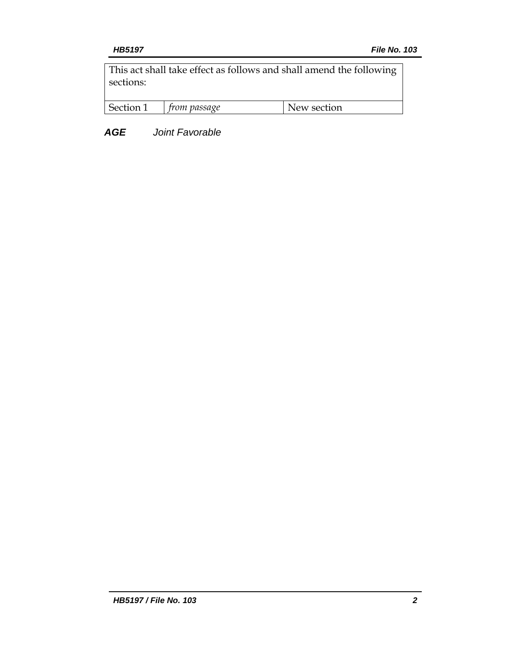This act shall take effect as follows and shall amend the following sections:

| Section | passage | section<br>$\mathbf{M}$ |
|---------|---------|-------------------------|
|         |         |                         |

*AGE Joint Favorable*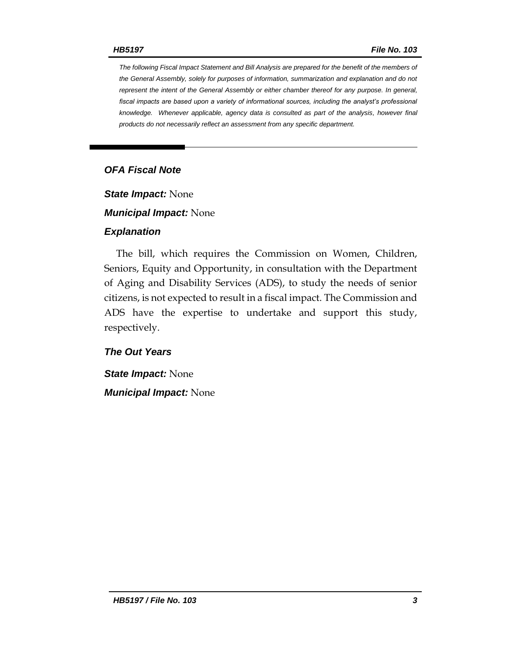*The following Fiscal Impact Statement and Bill Analysis are prepared for the benefit of the members of the General Assembly, solely for purposes of information, summarization and explanation and do not represent the intent of the General Assembly or either chamber thereof for any purpose. In general,*  fiscal impacts are based upon a variety of informational sources, including the analyst's professional *knowledge. Whenever applicable, agency data is consulted as part of the analysis, however final products do not necessarily reflect an assessment from any specific department.*

## *OFA Fiscal Note*

*State Impact:* None

*Municipal Impact:* None

#### *Explanation*

The bill, which requires the Commission on Women, Children, Seniors, Equity and Opportunity, in consultation with the Department of Aging and Disability Services (ADS), to study the needs of senior citizens, is not expected to result in a fiscal impact. The Commission and ADS have the expertise to undertake and support this study, respectively.

### *The Out Years*

*State Impact:* None

*Municipal Impact:* None